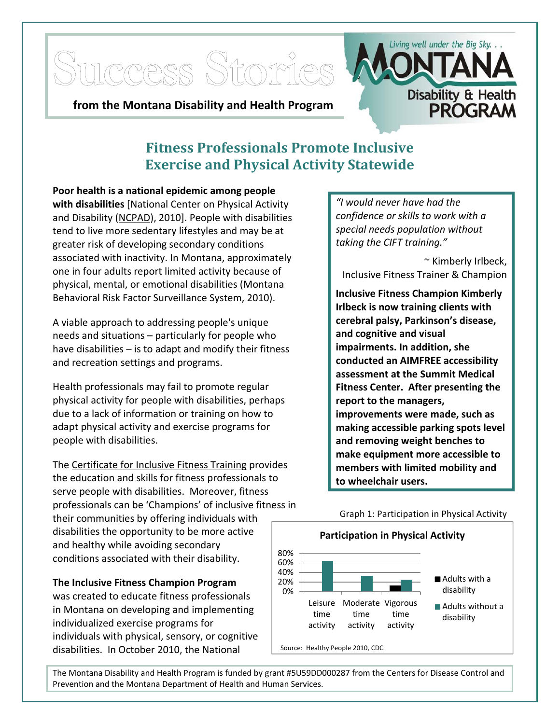

## **Fitness Professionals Promote Inclusive Exercise and Physical Activity Statewide**

 **Poor health is a national epidemic among people with disabilities** [National Center on Physical Activity and Disability (NCPAD), 2010]. People with disabilities tend to live more sedentary lifestyles and may be at greater risk of developing secondary conditions associated with inactivity. In Montana, approximately one in four adults report limited activity because of physical, mental, or emotional disabilities (Montana Behavioral Risk Factor Surveillance System, 2010).

 A viable approach to addressing people's unique needs and situations – particularly for people who have disabilities – is to adapt and modify their fitness and recreation settings and programs.

 Health professionals may fail to promote regular physical activity for people with disabilities, perhaps due to a lack of information or training on how to adapt physical activity and exercise programs for people with disabilities.

The Certificate for Inclusive Fitness Training provides the education and skills for fitness professionals to serve people with disabilities. Moreover, fitness professionals can be 'Champions' of inclusive fitness in

 their communities by offering individuals with disabilities the opportunity to be more active and healthy while avoiding secondary conditions associated with their disability.

## **The Inclusive Fitness Champion Program**

 was created to educate fitness professionals in Montana on developing and implementing individualized exercise programs for individuals with physical, sensory, or cognitive disabilities. In October 2010, the National

 *"I would never have had the confidence or skills to work with a special needs population without taking the CIFT training."*

 ~ Kimberly Irlbeck, Inclusive Fitness Trainer & Champion

 **Inclusive Fitness Champion Kimberly Irlbeck is now training clients with cerebral palsy, Parkinson's disease, and cognitive and visual impairments. In addition, she conducted an AIMFREE accessibility assessment at the Summit Medical Fitness Center. After presenting the report to the managers, improvements were made, such as making accessible parking spots level and removing weight benches to make equipment more accessible to members with limited mobility and to wheelchair users.**



 The Montana Disability and Health Program is funded by grant #5U59DD000287 from the Centers for Disease Control and Prevention and the Montana Department of Health and Human Services.